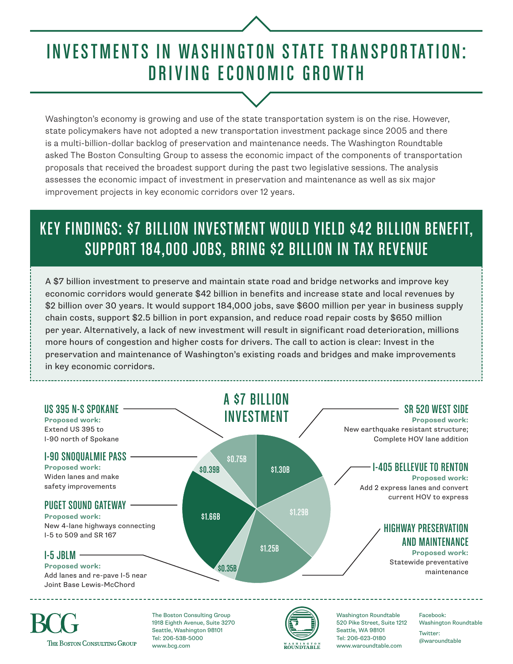# INVESTMENTS IN WASHINGTON STATE TRANSPORTATION: DRIVING ECONOMIC GROWTH

Washington's economy is growing and use of the state transportation system is on the rise. However, state policymakers have not adopted a new transportation investment package since 2005 and there is a multi-billion-dollar backlog of preservation and maintenance needs. The Washington Roundtable asked The Boston Consulting Group to assess the economic impact of the components of transportation proposals that received the broadest support during the past two legislative sessions. The analysis assesses the economic impact of investment in preservation and maintenance as well as six major improvement projects in key economic corridors over 12 years.

### KEY FINDINGS: \$7 BILLION INVESTMENT WOULD YIELD \$42 BILLION BENEFIT, SUPPORT 184,000 JOBS, BRING \$2 BILLION IN TAX REVENUE

A \$7 billion investment to preserve and maintain state road and bridge networks and improve key economic corridors would generate \$42 billion in benefits and increase state and local revenues by \$2 billion over 30 years. It would support 184,000 jobs, save \$600 million per year in business supply chain costs, support \$2.5 billion in port expansion, and reduce road repair costs by \$650 million per year. Alternatively, a lack of new investment will result in significant road deterioration, millions more hours of congestion and higher costs for drivers. The call to action is clear: Invest in the preservation and maintenance of Washington's existing roads and bridges and make improvements in key economic corridors.



THE BOSTON CONSULTING GROUP

1918 Eighth Avenue, Suite 3270 Seattle, Washington 98101 Tel: 206-538-5000 www.bcg.com



520 Pike Street, Suite 1212 Seattle, WA 98101 Tel: 206-623-0180 www.waroundtable.com

Washington Roundtable Twitter: @waroundtable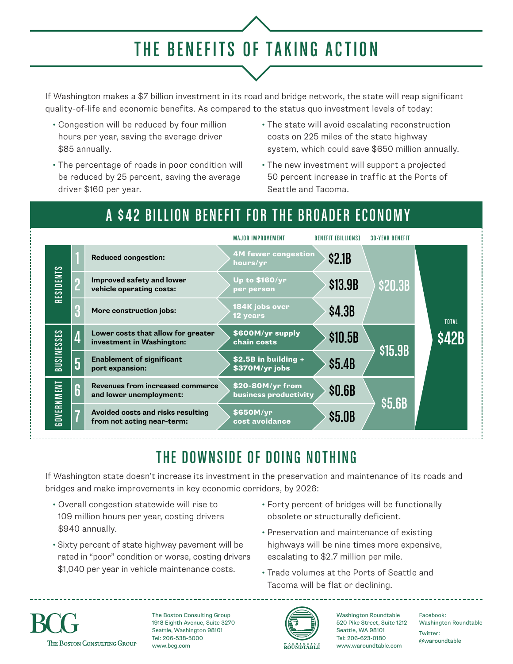## THE BENEFITS OF TAKING ACTION

If Washington makes a \$7 billion investment in its road and bridge network, the state will reap significant quality-of-life and economic benefits. As compared to the status quo investment levels of today:

- Congestion will be reduced by four million hours per year, saving the average driver \$85 annually.
- The percentage of roads in poor condition will be reduced by 25 percent, saving the average driver \$160 per year.
- The state will avoid escalating reconstruction costs on 225 miles of the state highway system, which could save \$650 million annually.
- The new investment will support a projected 50 percent increase in traffic at the Ports of Seattle and Tacoma.

#### A \$42 BILLION BENEFIT FOR THE BROADER ECONOMY

|                   |   |                                                                 | <b>MAJOR IMPROVEMENT</b>                  | <b>BENEFIT (BILLIONS)</b> | <b>30-YEAR BENEFIT</b> |                              |
|-------------------|---|-----------------------------------------------------------------|-------------------------------------------|---------------------------|------------------------|------------------------------|
| RESIDENTS         |   | <b>Reduced congestion:</b>                                      | <b>4M fewer congestion</b><br>hours/yr    | \$2.1B                    | \$20.3B                | <b>TOTAL</b><br><b>\$42B</b> |
|                   |   | Improved safety and lower<br>vehicle operating costs:           | Up to \$160/yr<br>per person              | \$13.9B                   |                        |                              |
|                   |   | More construction jobs:                                         | 184K jobs over<br><b>12 years</b>         | \$4.3B                    |                        |                              |
| <b>BUSINESSES</b> |   | Lower costs that allow for greater<br>investment in Washington: | \$600M/yr supply<br>chain costs           | \$10.5B                   | \$15.9B                |                              |
|                   | 5 | <b>Enablement of significant</b><br>port expansion:             | \$2.5B in building +<br>\$370M/yr jobs    | \$5.4B                    |                        |                              |
| GOVERNMENT        | 6 | Revenues from increased commerce<br>and lower unemployment:     | \$20-80M/yr from<br>business productivity | \$0.6B                    | \$5.6B                 |                              |
|                   |   | Avoided costs and risks resulting<br>from not acting near-term: | \$650M/yr<br>cost avoidance               | \$5.0B                    |                        |                              |

### THE DOWNSIDE OF DOING NOTHING

If Washington state doesn't increase its investment in the preservation and maintenance of its roads and bridges and make improvements in key economic corridors, by 2026:

- Overall congestion statewide will rise to 109 million hours per year, costing drivers \$940 annually.
- Sixty percent of state highway pavement will be rated in "poor" condition or worse, costing drivers \$1,040 per year in vehicle maintenance costs.
- Forty percent of bridges will be functionally obsolete or structurally deficient.
- Preservation and maintenance of existing highways will be nine times more expensive, escalating to \$2.7 million per mile.
- Trade volumes at the Ports of Seattle and Tacoma will be flat or declining.



The Boston Consulting Group 1918 Eighth Avenue, Suite 3270 Seattle, Washington 98101 Tel: 206-538-5000 www.bcg.com



Washington Roundtable 520 Pike Street, Suite 1212 Washington Roundtable Seattle, WA 98101 Tel: 206-623-0180 www.waroundtable.com

Facebook: Twitter: @waroundtable